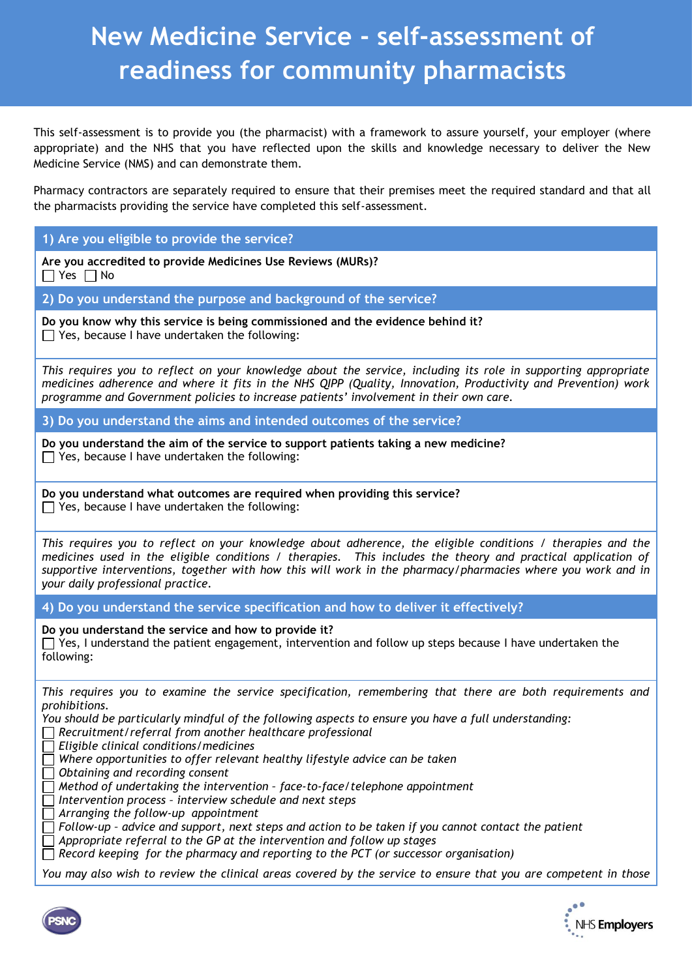## **New Medicine Service - self-assessment of readiness for community pharmacists**

This self-assessment is to provide you (the pharmacist) with a framework to assure yourself, your employer (where appropriate) and the NHS that you have reflected upon the skills and knowledge necessary to deliver the New Medicine Service (NMS) and can demonstrate them.

Pharmacy contractors are separately required to ensure that their premises meet the required standard and that all the pharmacists providing the service have completed this self-assessment.

**1) Are you eligible to provide the service?**

**Are you accredited to provide Medicines Use Reviews (MURs)?**  $\Box$  Yes  $\Box$  No

**2) Do you understand the purpose and background of the service?**

**Do you know why this service is being commissioned and the evidence behind it?**  $\Box$  Yes, because I have undertaken the following:

*This requires you to reflect on your knowledge about the service, including its role in supporting appropriate medicines adherence and where it fits in the NHS QIPP (Quality, Innovation, Productivity and Prevention) work programme and Government policies to increase patients' involvement in their own care.* 

**3) Do you understand the aims and intended outcomes of the service?**

**Do you understand the aim of the service to support patients taking a new medicine?**  $\Box$  Yes, because I have undertaken the following:

**Do you understand what outcomes are required when providing this service?**  $\Box$  Yes, because I have undertaken the following:

*This requires you to reflect on your knowledge about adherence, the eligible conditions / therapies and the medicines used in the eligible conditions / therapies. This includes the theory and practical application of supportive interventions, together with how this will work in the pharmacy/pharmacies where you work and in your daily professional practice.* 

**4) Do you understand the service specification and how to deliver it effectively?**

**Do you understand the service and how to provide it?**

 $\Box$  Yes, I understand the patient engagement, intervention and follow up steps because I have undertaken the following:

*This requires you to examine the service specification, remembering that there are both requirements and prohibitions.* 

*You should be particularly mindful of the following aspects to ensure you have a full understanding:*

*Recruitment/referral from another healthcare professional*

*Eligible clinical conditions/medicines*

 $\Box$  Where opportunities to offer relevant healthy lifestyle advice can be taken

*Obtaining and recording consent*

*Method of undertaking the intervention – face-to-face/telephone appointment*

*Intervention process – interview schedule and next steps*

*Arranging the follow-up appointment*

*Follow-up – advice and support, next steps and action to be taken if you cannot contact the patient*

*Appropriate referral to the GP at the intervention and follow up stages*

*Record keeping for the pharmacy and reporting to the PCT (or successor organisation)*

*You may also wish to review the clinical areas covered by the service to ensure that you are competent in those*